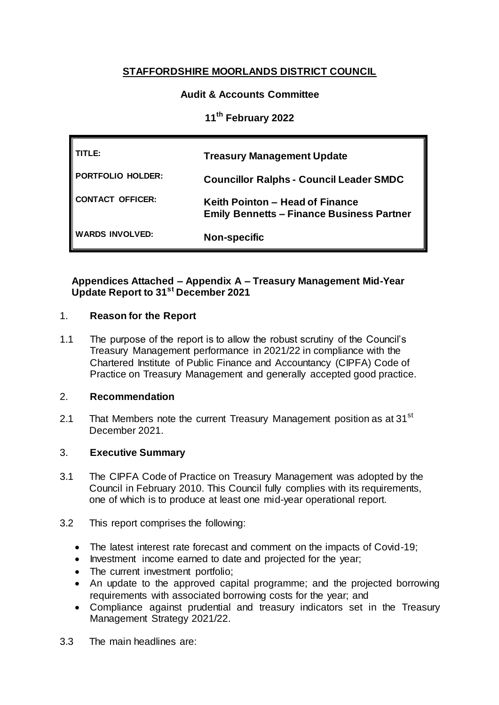# **STAFFORDSHIRE MOORLANDS DISTRICT COUNCIL**

# **Audit & Accounts Committee**

**11th February 2022**

| TITLE:                 | <b>Treasury Management Update</b>                                                   |
|------------------------|-------------------------------------------------------------------------------------|
| PORTFOLIO HOLDER:      | <b>Councillor Ralphs - Council Leader SMDC</b>                                      |
| CONTACT OFFICER:       | Keith Pointon - Head of Finance<br><b>Emily Bennetts - Finance Business Partner</b> |
| <b>WARDS INVOLVED:</b> | <b>Non-specific</b>                                                                 |

# **Appendices Attached – Appendix A – Treasury Management Mid-Year Update Report to 31st December 2021**

# 1. **Reason for the Report**

1.1 The purpose of the report is to allow the robust scrutiny of the Council's Treasury Management performance in 2021/22 in compliance with the Chartered Institute of Public Finance and Accountancy (CIPFA) Code of Practice on Treasury Management and generally accepted good practice.

#### 2. **Recommendation**

2.1 That Members note the current Treasury Management position as at 31<sup>st</sup> December 2021.

# 3. **Executive Summary**

- 3.1 The CIPFA Code of Practice on Treasury Management was adopted by the Council in February 2010. This Council fully complies with its requirements, one of which is to produce at least one mid-year operational report.
- 3.2 This report comprises the following:
	- The latest interest rate forecast and comment on the impacts of Covid-19;
	- Investment income earned to date and projected for the year;
	- The current investment portfolio;
	- An update to the approved capital programme; and the projected borrowing requirements with associated borrowing costs for the year; and
	- Compliance against prudential and treasury indicators set in the Treasury Management Strategy 2021/22.
- 3.3 The main headlines are: